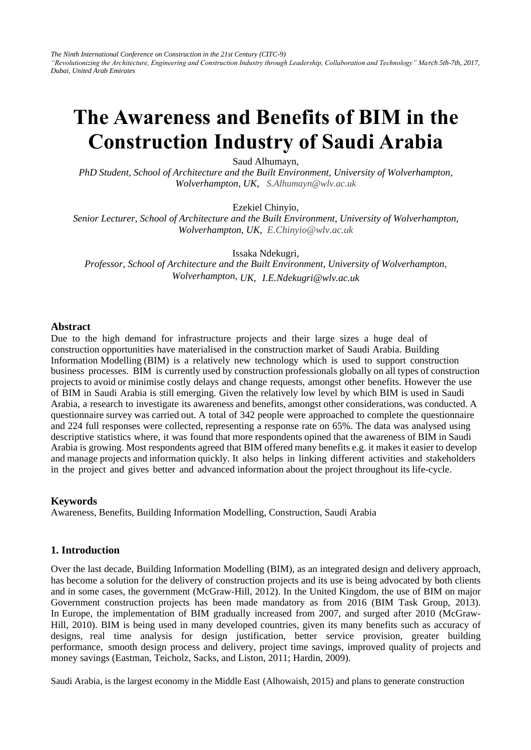*The Ninth International Conference on Construction in the 21st Century (CITC-9) "Revolutionizing the Architecture, Engineering and Construction Industry through Leadership, Collaboration and Technology" March 5th-7th, 2017, Dubai, United Arab Emirates* 

# **The Awareness and Benefits of BIM in the Construction Industry of Saudi Arabia**

Saud Alhumayn,

*PhD Student, School of Architecture and the Built Environment, University of Wolverhampton, Wolverhampton, UK, S.Alhumayn@wlv.ac.uk* 

Ezekiel Chinyio,

*Senior Lecturer, School of Architecture and the Built Environment, University of Wolverhampton, Wolverhampton, UK, E.Chinyio@wlv.ac.uk* 

Issaka Ndekugri,

*Professor, School of Architecture and the Built Environment, University of Wolverhampton, Wolverhampton, UK, I.E.Ndekugri@wlv.ac.uk* 

#### **Abstract**

Due to the high demand for infrastructure projects and their large sizes a huge deal of construction opportunities have materialised in the construction market of Saudi Arabia. Building Information Modelling (BIM) is a relatively new technology which is used to support construction business processes. BIM is currently used by construction professionals globally on all types of construction projects to avoid or minimise costly delays and change requests, amongst other benefits. However the use of BIM in Saudi Arabia is still emerging. Given the relatively low level by which BIM is used in Saudi Arabia, a research to investigate its awareness and benefits, amongst other considerations, was conducted. A questionnaire survey was carried out. A total of 342 people were approached to complete the questionnaire and 224 full responses were collected, representing a response rate on 65%. The data was analysed using descriptive statistics where, it was found that more respondents opined that the awareness of BIM in Saudi Arabia is growing. Most respondents agreed that BIM offered many benefits e.g. it makes it easier to develop and manage projects and information quickly. It also helps in linking different activities and stakeholders in the project and gives better and advanced information about the project throughout its life-cycle.

## **Keywords**

Awareness, Benefits, Building Information Modelling, Construction, Saudi Arabia

## **1. Introduction**

Over the last decade, Building Information Modelling (BIM), as an integrated design and delivery approach, has become a solution for the delivery of construction projects and its use is being advocated by both clients and in some cases, the government (McGraw-Hill, 2012). In the United Kingdom, the use of BIM on major Government construction projects has been made mandatory as from 2016 (BIM Task Group, 2013). In Europe, the implementation of BIM gradually increased from 2007, and surged after 2010 (McGraw-Hill, 2010). BIM is being used in many developed countries, given its many benefits such as accuracy of designs, real time analysis for design justification, better service provision, greater building performance, smooth design process and delivery, project time savings, improved quality of projects and money savings (Eastman, Teicholz, Sacks, and Liston, 2011; Hardin, 2009).

Saudi Arabia, is the largest economy in the Middle East (Alhowaish, 2015) and plans to generate construction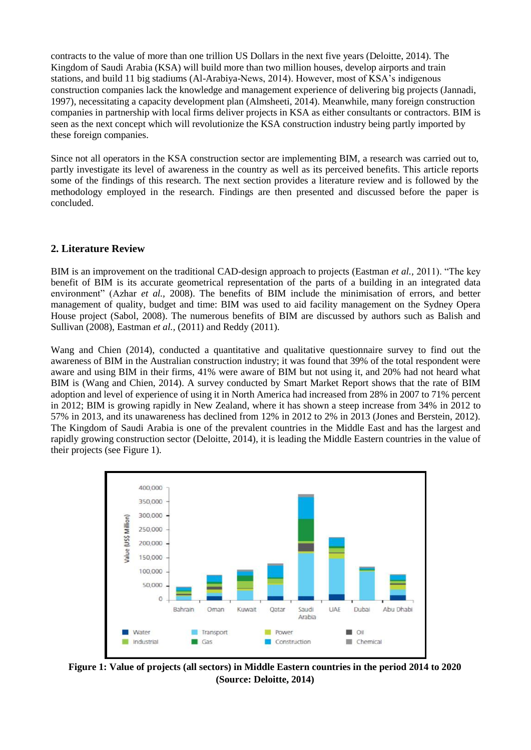contracts to the value of more than one trillion US Dollars in the next five years (Deloitte, 2014). The Kingdom of Saudi Arabia (KSA) will build more than two million houses, develop airports and train stations, and build 11 big stadiums (Al-Arabiya-News, 2014). However, most of KSA's indigenous construction companies lack the knowledge and management experience of delivering big projects (Jannadi, 1997), necessitating a capacity development plan (Almsheeti, 2014). Meanwhile, many foreign construction companies in partnership with local firms deliver projects in KSA as either consultants or contractors. BIM is seen as the next concept which will revolutionize the KSA construction industry being partly imported by these foreign companies.

Since not all operators in the KSA construction sector are implementing BIM, a research was carried out to, partly investigate its level of awareness in the country as well as its perceived benefits. This article reports some of the findings of this research. The next section provides a literature review and is followed by the methodology employed in the research. Findings are then presented and discussed before the paper is concluded.

# **2. Literature Review**

BIM is an improvement on the traditional CAD-design approach to projects (Eastman *et al.,* 2011). "The key benefit of BIM is its accurate geometrical representation of the parts of a building in an integrated data environment" (Azhar *et al.,* 2008). The benefits of BIM include the minimisation of errors, and better management of quality, budget and time: BIM was used to aid facility management on the Sydney Opera House project (Sabol, 2008). The numerous benefits of BIM are discussed by authors such as Balish and Sullivan (2008), Eastman *et al.,* (2011) and Reddy (2011).

Wang and Chien (2014), conducted a quantitative and qualitative questionnaire survey to find out the awareness of BIM in the Australian construction industry; it was found that 39% of the total respondent were aware and using BIM in their firms, 41% were aware of BIM but not using it, and 20% had not heard what BIM is (Wang and Chien, 2014). A survey conducted by Smart Market Report shows that the rate of BIM adoption and level of experience of using it in North America had increased from 28% in 2007 to 71% percent in 2012; BIM is growing rapidly in New Zealand, where it has shown a steep increase from 34% in 2012 to 57% in 2013, and its unawareness has declined from 12% in 2012 to 2% in 2013 (Jones and Berstein, 2012). The Kingdom of Saudi Arabia is one of the prevalent countries in the Middle East and has the largest and rapidly growing construction sector (Deloitte, 2014), it is leading the Middle Eastern countries in the value of their projects (see Figure 1).



**Figure 1: Value of projects (all sectors) in Middle Eastern countries in the period 2014 to 2020 (Source: Deloitte, 2014)**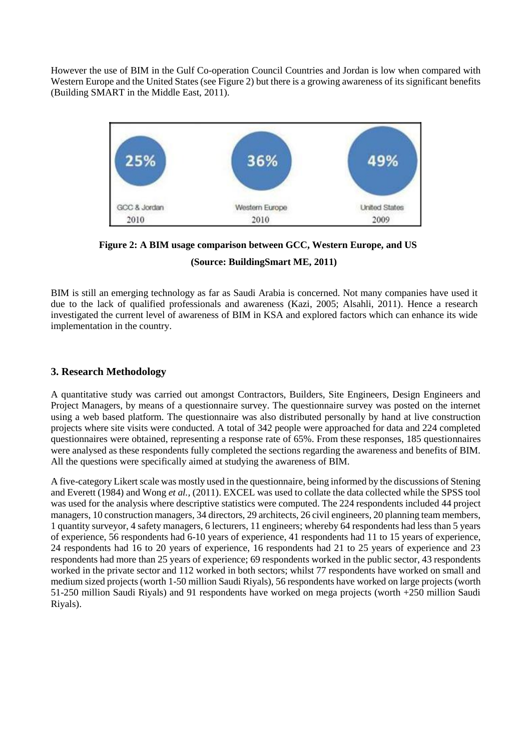However the use of BIM in the Gulf Co-operation Council Countries and Jordan is low when compared with Western Europe and the United States (see Figure 2) but there is a growing awareness of its significant benefits (Building SMART in the Middle East, 2011).



**Figure 2: A BIM usage comparison between GCC, Western Europe, and US**

**(Source: BuildingSmart ME, 2011)**

BIM is still an emerging technology as far as Saudi Arabia is concerned. Not many companies have used it due to the lack of qualified professionals and awareness (Kazi, 2005; Alsahli, 2011). Hence a research investigated the current level of awareness of BIM in KSA and explored factors which can enhance its wide implementation in the country.

# **3. Research Methodology**

A quantitative study was carried out amongst Contractors, Builders, Site Engineers, Design Engineers and Project Managers, by means of a questionnaire survey. The questionnaire survey was posted on the internet using a web based platform. The questionnaire was also distributed personally by hand at live construction projects where site visits were conducted. A total of 342 people were approached for data and 224 completed questionnaires were obtained, representing a response rate of 65%. From these responses, 185 questionnaires were analysed as these respondents fully completed the sections regarding the awareness and benefits of BIM. All the questions were specifically aimed at studying the awareness of BIM.

A five-category Likert scale was mostly used in the questionnaire, being informed by the discussions of Stening and Everett (1984) and Wong *et al.,* (2011). EXCEL was used to collate the data collected while the SPSS tool was used for the analysis where descriptive statistics were computed. The 224 respondents included 44 project managers, 10 construction managers, 34 directors, 29 architects, 26 civil engineers, 20 planning team members, 1 quantity surveyor, 4 safety managers, 6 lecturers, 11 engineers; whereby 64 respondents had less than 5 years of experience, 56 respondents had 6-10 years of experience, 41 respondents had 11 to 15 years of experience, 24 respondents had 16 to 20 years of experience, 16 respondents had 21 to 25 years of experience and 23 respondents had more than 25 years of experience; 69 respondents worked in the public sector, 43 respondents worked in the private sector and 112 worked in both sectors; whilst 77 respondents have worked on small and medium sized projects (worth 1-50 million Saudi Riyals), 56 respondents have worked on large projects (worth 51-250 million Saudi Riyals) and 91 respondents have worked on mega projects (worth +250 million Saudi Riyals).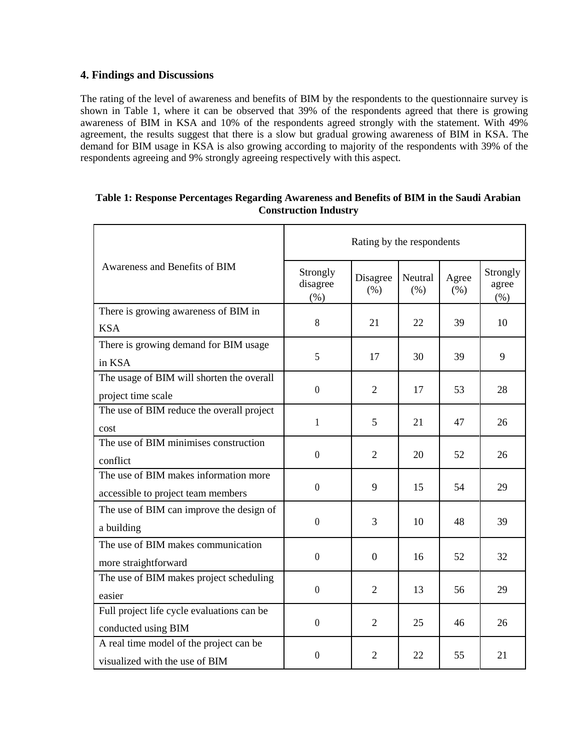# **4. Findings and Discussions**

The rating of the level of awareness and benefits of BIM by the respondents to the questionnaire survey is shown in Table 1, where it can be observed that 39% of the respondents agreed that there is growing awareness of BIM in KSA and 10% of the respondents agreed strongly with the statement. With 49% agreement, the results suggest that there is a slow but gradual growing awareness of BIM in KSA. The demand for BIM usage in KSA is also growing according to majority of the respondents with 39% of the respondents agreeing and 9% strongly agreeing respectively with this aspect.

| Awareness and Benefits of BIM              | Rating by the respondents    |                  |                 |               |                           |
|--------------------------------------------|------------------------------|------------------|-----------------|---------------|---------------------------|
|                                            | Strongly<br>disagree<br>(% ) | Disagree<br>(%)  | Neutral<br>(% ) | Agree<br>(% ) | Strongly<br>agree<br>(% ) |
| There is growing awareness of BIM in       |                              |                  |                 |               |                           |
| <b>KSA</b>                                 | 8                            | 21               | 22              | 39            | 10                        |
| There is growing demand for BIM usage      | 5                            | 17               | 30              | 39            | 9                         |
| in KSA                                     |                              |                  |                 |               |                           |
| The usage of BIM will shorten the overall  |                              |                  |                 |               |                           |
| project time scale                         | $\mathbf{0}$                 | $\overline{2}$   | 17              | 53            | 28                        |
| The use of BIM reduce the overall project  |                              |                  |                 |               |                           |
| cost                                       | $\mathbf{1}$                 | 5                | 21              | 47            | 26                        |
| The use of BIM minimises construction      |                              |                  |                 |               |                           |
| conflict                                   | $\boldsymbol{0}$             | 2                | 20              | 52            | 26                        |
| The use of BIM makes information more      |                              |                  |                 |               |                           |
| accessible to project team members         | $\overline{0}$               | 9                | 15              | 54            | 29                        |
| The use of BIM can improve the design of   |                              |                  |                 |               |                           |
| a building                                 | $\overline{0}$               | 3                | 10              | 48            | 39                        |
| The use of BIM makes communication         |                              |                  |                 |               |                           |
| more straightforward                       | $\boldsymbol{0}$             | $\boldsymbol{0}$ | 16              | 52            | 32                        |
| The use of BIM makes project scheduling    |                              |                  |                 |               |                           |
| easier                                     | $\mathbf{0}$                 | $\overline{2}$   | 13              | 56            | 29                        |
| Full project life cycle evaluations can be |                              |                  |                 |               |                           |
| conducted using BIM                        | $\overline{0}$               | 2                | 25              | 46            | 26                        |
| A real time model of the project can be    |                              |                  |                 |               |                           |
| visualized with the use of BIM             | $\theta$                     | $\overline{2}$   | 22              | 55            | 21                        |

# **Table 1: Response Percentages Regarding Awareness and Benefits of BIM in the Saudi Arabian Construction Industry**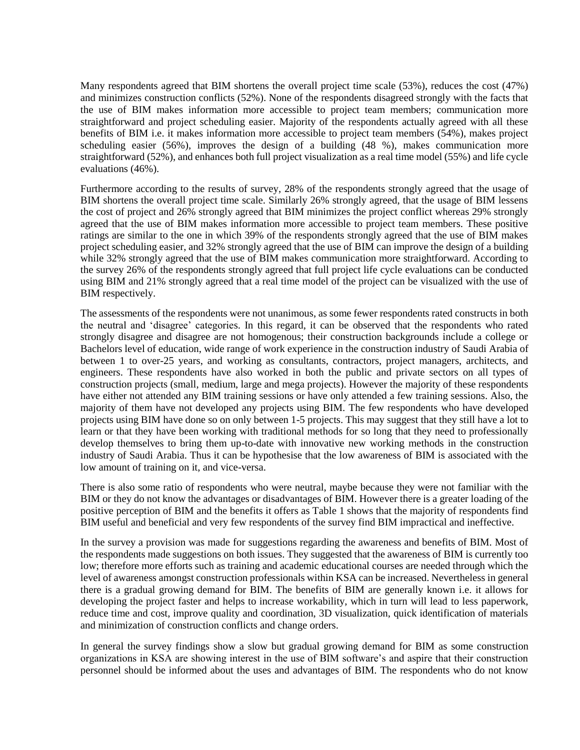Many respondents agreed that BIM shortens the overall project time scale (53%), reduces the cost (47%) and minimizes construction conflicts (52%). None of the respondents disagreed strongly with the facts that the use of BIM makes information more accessible to project team members; communication more straightforward and project scheduling easier. Majority of the respondents actually agreed with all these benefits of BIM i.e. it makes information more accessible to project team members (54%), makes project scheduling easier (56%), improves the design of a building (48 %), makes communication more straightforward (52%), and enhances both full project visualization as a real time model (55%) and life cycle evaluations (46%).

Furthermore according to the results of survey, 28% of the respondents strongly agreed that the usage of BIM shortens the overall project time scale. Similarly 26% strongly agreed, that the usage of BIM lessens the cost of project and 26% strongly agreed that BIM minimizes the project conflict whereas 29% strongly agreed that the use of BIM makes information more accessible to project team members. These positive ratings are similar to the one in which 39% of the respondents strongly agreed that the use of BIM makes project scheduling easier, and 32% strongly agreed that the use of BIM can improve the design of a building while 32% strongly agreed that the use of BIM makes communication more straightforward. According to the survey 26% of the respondents strongly agreed that full project life cycle evaluations can be conducted using BIM and 21% strongly agreed that a real time model of the project can be visualized with the use of BIM respectively.

The assessments of the respondents were not unanimous, as some fewer respondents rated constructs in both the neutral and 'disagree' categories. In this regard, it can be observed that the respondents who rated strongly disagree and disagree are not homogenous; their construction backgrounds include a college or Bachelors level of education, wide range of work experience in the construction industry of Saudi Arabia of between 1 to over-25 years, and working as consultants, contractors, project managers, architects, and engineers. These respondents have also worked in both the public and private sectors on all types of construction projects (small, medium, large and mega projects). However the majority of these respondents have either not attended any BIM training sessions or have only attended a few training sessions. Also, the majority of them have not developed any projects using BIM. The few respondents who have developed projects using BIM have done so on only between 1-5 projects. This may suggest that they still have a lot to learn or that they have been working with traditional methods for so long that they need to professionally develop themselves to bring them up-to-date with innovative new working methods in the construction industry of Saudi Arabia. Thus it can be hypothesise that the low awareness of BIM is associated with the low amount of training on it, and vice-versa.

There is also some ratio of respondents who were neutral, maybe because they were not familiar with the BIM or they do not know the advantages or disadvantages of BIM. However there is a greater loading of the positive perception of BIM and the benefits it offers as Table 1 shows that the majority of respondents find BIM useful and beneficial and very few respondents of the survey find BIM impractical and ineffective.

In the survey a provision was made for suggestions regarding the awareness and benefits of BIM. Most of the respondents made suggestions on both issues. They suggested that the awareness of BIM is currently too low; therefore more efforts such as training and academic educational courses are needed through which the level of awareness amongst construction professionals within KSA can be increased. Nevertheless in general there is a gradual growing demand for BIM. The benefits of BIM are generally known i.e. it allows for developing the project faster and helps to increase workability, which in turn will lead to less paperwork, reduce time and cost, improve quality and coordination, 3D visualization, quick identification of materials and minimization of construction conflicts and change orders.

In general the survey findings show a slow but gradual growing demand for BIM as some construction organizations in KSA are showing interest in the use of BIM software's and aspire that their construction personnel should be informed about the uses and advantages of BIM. The respondents who do not know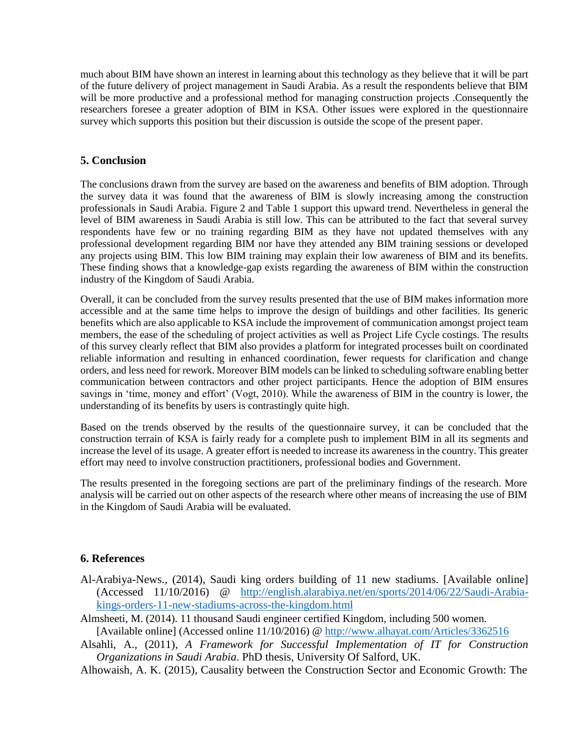much about BIM have shown an interest in learning about this technology as they believe that it will be part of the future delivery of project management in Saudi Arabia. As a result the respondents believe that BIM will be more productive and a professional method for managing construction projects .Consequently the researchers foresee a greater adoption of BIM in KSA. Other issues were explored in the questionnaire survey which supports this position but their discussion is outside the scope of the present paper.

## **5. Conclusion**

The conclusions drawn from the survey are based on the awareness and benefits of BIM adoption. Through the survey data it was found that the awareness of BIM is slowly increasing among the construction professionals in Saudi Arabia. Figure 2 and Table 1 support this upward trend. Nevertheless in general the level of BIM awareness in Saudi Arabia is still low. This can be attributed to the fact that several survey respondents have few or no training regarding BIM as they have not updated themselves with any professional development regarding BIM nor have they attended any BIM training sessions or developed any projects using BIM. This low BIM training may explain their low awareness of BIM and its benefits. These finding shows that a knowledge-gap exists regarding the awareness of BIM within the construction industry of the Kingdom of Saudi Arabia.

Overall, it can be concluded from the survey results presented that the use of BIM makes information more accessible and at the same time helps to improve the design of buildings and other facilities. Its generic benefits which are also applicable to KSA include the improvement of communication amongst project team members, the ease of the scheduling of project activities as well as Project Life Cycle costings. The results of this survey clearly reflect that BIM also provides a platform for integrated processes built on coordinated reliable information and resulting in enhanced coordination, fewer requests for clarification and change orders, and less need for rework. Moreover BIM models can be linked to scheduling software enabling better communication between contractors and other project participants. Hence the adoption of BIM ensures savings in 'time, money and effort' (Vogt, 2010). While the awareness of BIM in the country is lower, the understanding of its benefits by users is contrastingly quite high.

Based on the trends observed by the results of the questionnaire survey, it can be concluded that the construction terrain of KSA is fairly ready for a complete push to implement BIM in all its segments and increase the level of its usage. A greater effort is needed to increase its awareness in the country. This greater effort may need to involve construction practitioners, professional bodies and Government.

The results presented in the foregoing sections are part of the preliminary findings of the research. More analysis will be carried out on other aspects of the research where other means of increasing the use of BIM in the Kingdom of Saudi Arabia will be evaluated.

# **6. References**

- Al-Arabiya-News., (2014), Saudi king orders building of 11 new stadiums. [Available online] (Accessed 11/10/2016) @ [http://english.alarabiya.net/en/sports/2014/06/22/Saudi-Arabia](http://english.alarabiya.net/en/sports/2014/06/22/Saudi-Arabia-kings-orders-11-new-stadiums-across-the-kingdom.html)[kings-orders-11-new-stadiums-across-the-kingdom.html](http://english.alarabiya.net/en/sports/2014/06/22/Saudi-Arabia-kings-orders-11-new-stadiums-across-the-kingdom.html)
- Almsheeti, M. (2014). 11 thousand Saudi engineer certified Kingdom, including 500 women. [Available online] (Accessed online 11/10/2016) @<http://www.alhayat.com/Articles/3362516>
- Alsahli, A., (2011), *A Framework for Successful Implementation of IT for Construction Organizations in Saudi Arabia*. PhD thesis, University Of Salford, UK.
- Alhowaish, A. K. (2015), Causality between the Construction Sector and Economic Growth: The